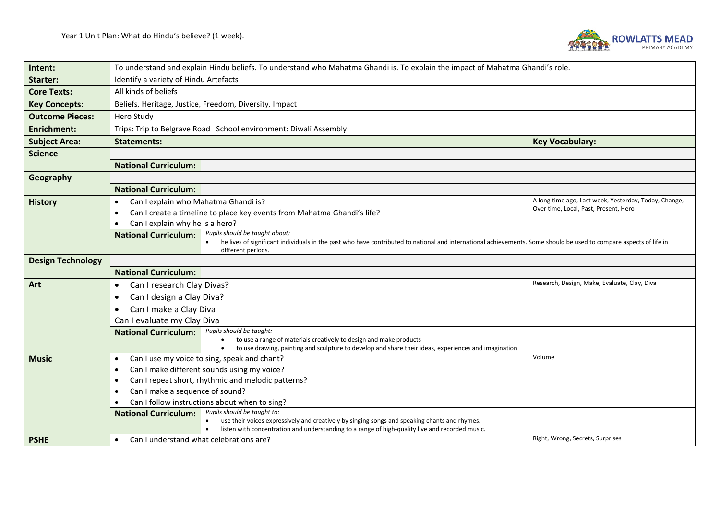

| Intent:                  | To understand and explain Hindu beliefs. To understand who Mahatma Ghandi is. To explain the impact of Mahatma Ghandi's role.                                                                                                       |                                                                                                |  |  |  |
|--------------------------|-------------------------------------------------------------------------------------------------------------------------------------------------------------------------------------------------------------------------------------|------------------------------------------------------------------------------------------------|--|--|--|
| Starter:                 | Identify a variety of Hindu Artefacts                                                                                                                                                                                               |                                                                                                |  |  |  |
| <b>Core Texts:</b>       | All kinds of beliefs                                                                                                                                                                                                                |                                                                                                |  |  |  |
| <b>Key Concepts:</b>     | Beliefs, Heritage, Justice, Freedom, Diversity, Impact                                                                                                                                                                              |                                                                                                |  |  |  |
| <b>Outcome Pieces:</b>   | Hero Study                                                                                                                                                                                                                          |                                                                                                |  |  |  |
| <b>Enrichment:</b>       | Trips: Trip to Belgrave Road School environment: Diwali Assembly                                                                                                                                                                    |                                                                                                |  |  |  |
| <b>Subject Area:</b>     | <b>Key Vocabulary:</b><br><b>Statements:</b>                                                                                                                                                                                        |                                                                                                |  |  |  |
| <b>Science</b>           |                                                                                                                                                                                                                                     |                                                                                                |  |  |  |
|                          | <b>National Curriculum:</b>                                                                                                                                                                                                         |                                                                                                |  |  |  |
| Geography                |                                                                                                                                                                                                                                     |                                                                                                |  |  |  |
|                          | <b>National Curriculum:</b>                                                                                                                                                                                                         |                                                                                                |  |  |  |
| <b>History</b>           | Can I explain who Mahatma Ghandi is?<br>$\bullet$                                                                                                                                                                                   | A long time ago, Last week, Yesterday, Today, Change,<br>Over time, Local, Past, Present, Hero |  |  |  |
|                          | Can I create a timeline to place key events from Mahatma Ghandi's life?                                                                                                                                                             |                                                                                                |  |  |  |
|                          | Can I explain why he is a hero?                                                                                                                                                                                                     |                                                                                                |  |  |  |
|                          | Pupils should be taught about:<br><b>National Curriculum:</b><br>he lives of significant individuals in the past who have contributed to national and international achievements. Some should be used to compare aspects of life in |                                                                                                |  |  |  |
|                          | different periods.                                                                                                                                                                                                                  |                                                                                                |  |  |  |
| <b>Design Technology</b> |                                                                                                                                                                                                                                     |                                                                                                |  |  |  |
|                          | <b>National Curriculum:</b>                                                                                                                                                                                                         |                                                                                                |  |  |  |
| Art                      | Research, Design, Make, Evaluate, Clay, Diva<br>Can I research Clay Divas?                                                                                                                                                          |                                                                                                |  |  |  |
|                          | Can I design a Clay Diva?                                                                                                                                                                                                           |                                                                                                |  |  |  |
|                          | Can I make a Clay Diva<br>$\bullet$                                                                                                                                                                                                 |                                                                                                |  |  |  |
|                          | Can I evaluate my Clay Diva                                                                                                                                                                                                         |                                                                                                |  |  |  |
|                          | Pupils should be taught:<br><b>National Curriculum:</b><br>to use a range of materials creatively to design and make products                                                                                                       |                                                                                                |  |  |  |
|                          | to use drawing, painting and sculpture to develop and share their ideas, experiences and imagination                                                                                                                                |                                                                                                |  |  |  |
| <b>Music</b>             | Can I use my voice to sing, speak and chant?<br>$\bullet$                                                                                                                                                                           | Volume                                                                                         |  |  |  |
|                          | Can I make different sounds using my voice?<br>$\bullet$                                                                                                                                                                            |                                                                                                |  |  |  |
|                          | Can I repeat short, rhythmic and melodic patterns?<br>$\bullet$                                                                                                                                                                     |                                                                                                |  |  |  |
|                          | Can I make a sequence of sound?                                                                                                                                                                                                     |                                                                                                |  |  |  |
|                          | Can I follow instructions about when to sing?<br>Pupils should be taught to:<br><b>National Curriculum:</b>                                                                                                                         |                                                                                                |  |  |  |
|                          | use their voices expressively and creatively by singing songs and speaking chants and rhymes.<br>$\bullet$                                                                                                                          |                                                                                                |  |  |  |
|                          | listen with concentration and understanding to a range of high-quality live and recorded music.                                                                                                                                     |                                                                                                |  |  |  |
| <b>PSHE</b>              | Can I understand what celebrations are?                                                                                                                                                                                             | Right, Wrong, Secrets, Surprises                                                               |  |  |  |